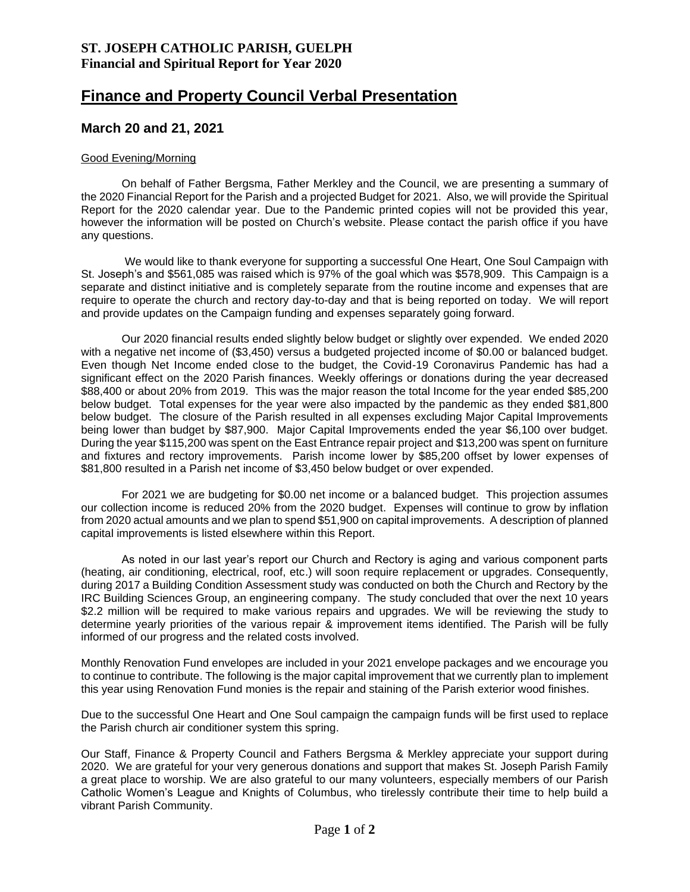## **Finance and Property Council Verbal Presentation**

## **March 20 and 21, 2021**

## Good Evening/Morning

On behalf of Father Bergsma, Father Merkley and the Council, we are presenting a summary of the 2020 Financial Report for the Parish and a projected Budget for 2021. Also, we will provide the Spiritual Report for the 2020 calendar year. Due to the Pandemic printed copies will not be provided this year, however the information will be posted on Church's website. Please contact the parish office if you have any questions.

We would like to thank everyone for supporting a successful One Heart, One Soul Campaign with St. Joseph's and \$561,085 was raised which is 97% of the goal which was \$578,909. This Campaign is a separate and distinct initiative and is completely separate from the routine income and expenses that are require to operate the church and rectory day-to-day and that is being reported on today. We will report and provide updates on the Campaign funding and expenses separately going forward.

Our 2020 financial results ended slightly below budget or slightly over expended. We ended 2020 with a negative net income of (\$3,450) versus a budgeted projected income of \$0.00 or balanced budget. Even though Net Income ended close to the budget, the Covid-19 Coronavirus Pandemic has had a significant effect on the 2020 Parish finances. Weekly offerings or donations during the year decreased \$88,400 or about 20% from 2019. This was the major reason the total Income for the year ended \$85,200 below budget. Total expenses for the year were also impacted by the pandemic as they ended \$81,800 below budget. The closure of the Parish resulted in all expenses excluding Major Capital Improvements being lower than budget by \$87,900. Major Capital Improvements ended the year \$6,100 over budget. During the year \$115,200 was spent on the East Entrance repair project and \$13,200 was spent on furniture and fixtures and rectory improvements. Parish income lower by \$85,200 offset by lower expenses of \$81,800 resulted in a Parish net income of \$3,450 below budget or over expended.

For 2021 we are budgeting for \$0.00 net income or a balanced budget. This projection assumes our collection income is reduced 20% from the 2020 budget. Expenses will continue to grow by inflation from 2020 actual amounts and we plan to spend \$51,900 on capital improvements. A description of planned capital improvements is listed elsewhere within this Report.

As noted in our last year's report our Church and Rectory is aging and various component parts (heating, air conditioning, electrical, roof, etc.) will soon require replacement or upgrades. Consequently, during 2017 a Building Condition Assessment study was conducted on both the Church and Rectory by the IRC Building Sciences Group, an engineering company. The study concluded that over the next 10 years \$2.2 million will be required to make various repairs and upgrades. We will be reviewing the study to determine yearly priorities of the various repair & improvement items identified. The Parish will be fully informed of our progress and the related costs involved.

Monthly Renovation Fund envelopes are included in your 2021 envelope packages and we encourage you to continue to contribute. The following is the major capital improvement that we currently plan to implement this year using Renovation Fund monies is the repair and staining of the Parish exterior wood finishes.

Due to the successful One Heart and One Soul campaign the campaign funds will be first used to replace the Parish church air conditioner system this spring.

Our Staff, Finance & Property Council and Fathers Bergsma & Merkley appreciate your support during 2020. We are grateful for your very generous donations and support that makes St. Joseph Parish Family a great place to worship. We are also grateful to our many volunteers, especially members of our Parish Catholic Women's League and Knights of Columbus, who tirelessly contribute their time to help build a vibrant Parish Community.